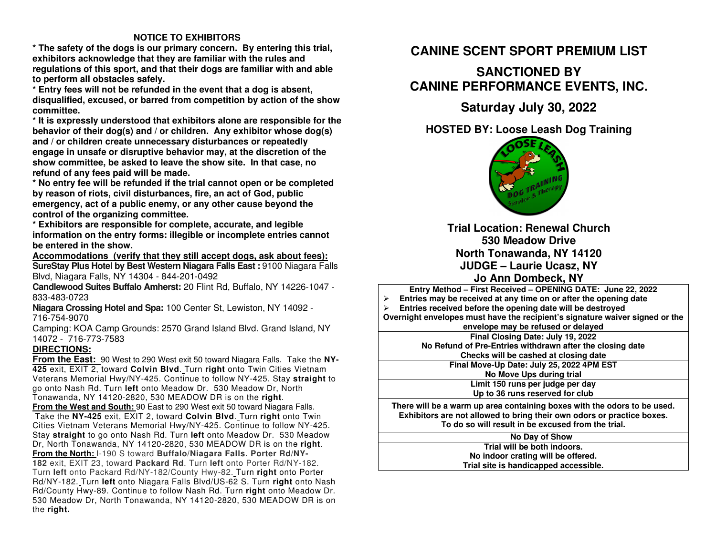### **NOTICE TO EXHIBITORS**

 **\* The safety of the dogs is our primary concern. By entering this trial, exhibitors acknowledge that they are familiar with the rules and regulations of this sport, and that their dogs are familiar with and able to perform all obstacles safely.** 

 **\* Entry fees will not be refunded in the event that a dog is absent, disqualified, excused, or barred from competition by action of the show committee.** 

 **\* It is expressly understood that exhibitors alone are responsible for the behavior of their dog(s) and / or children. Any exhibitor whose dog(s) and / or children create unnecessary disturbances or repeatedly engage in unsafe or disruptive behavior may, at the discretion of the show committee, be asked to leave the show site. In that case, no refund of any fees paid will be made.** 

 **\* No entry fee will be refunded if the trial cannot open or be completed by reason of riots, civil disturbances, fire, an act of God, public emergency, act of a public enemy, or any other cause beyond the control of the organizing committee.** 

 **\* Exhibitors are responsible for complete, accurate, and legible information on the entry forms: illegible or incomplete entries cannot be entered in the show.** 

 **Accommodations (verify that they still accept dogs, ask about fees): SureStay Plus Hotel by Best Western Niagara Falls East :** 9100 Niagara Falls

Blvd, Niagara Falls, NY 14304 - 844-201-0492

 **Candlewood Suites Buffalo Amherst:** 20 Flint Rd, Buffalo, NY 14226-1047 - 833-483-0723

 **Niagara Crossing Hotel and Spa:** 100 Center St, Lewiston, NY 14092 - 716-754-9070

 Camping: KOA Camp Grounds: 2570 Grand Island Blvd. Grand Island, NY 14072 - 716-773-7583

### **DIRECTIONS:**

 **From the East:** 90 West to 290 West exit 50 toward Niagara Falls. Take the **NY-425** exit, EXIT 2, toward **Colvin Blvd**. Turn **right** onto Twin Cities Vietnam Veterans Memorial Hwy**/**NY-425. Continue to follow NY-425. Stay **straight** to go onto Nash Rd. Turn **left** onto Meadow Dr. 530 Meadow Dr, North Tonawanda, NY 14120-2820, 530 MEADOW DR is on the **right**. **From the West and South:** 90 East to 290 West exit 50 toward Niagara Falls. Take the **NY-425** exit, EXIT 2, toward **Colvin Blvd**. Turn **right** onto Twin Cities Vietnam Veterans Memorial Hwy**/**NY-425. Continue to follow NY-425. Stay **straight** to go onto Nash Rd. Turn **left** onto Meadow Dr. 530 Meadow Dr, North Tonawanda, NY 14120-2820, 530 MEADOW DR is on the **right**.**From the North:** I-190 S toward **Buffalo/Niagara Falls. Porter Rd/NY-182** exit, EXIT 23, toward **Packard Rd**. Turn **left** onto Porter Rd/NY-182. Turn **left** onto Packard Rd/NY-182/County Hwy-82. Turn **right** onto Porter Rd/NY-182. Turn **left** onto Niagara Falls Blvd/US-62 S. Turn **right** onto Nash Rd**/**County Hwy-89. Continue to follow Nash Rd. Turn **right** onto Meadow Dr. 530 Meadow Dr, North Tonawanda, NY 14120-2820, 530 MEADOW DR is on the **right.**

# **CANINE SCENT SPORT PREMIUM LIST**

# **SANCTIONED BY CANINE PERFORMANCE EVENTS, INC.**

## **Saturday July 30, 2022**

**HOSTED BY: Loose Leash Dog Training** 



**Trial Location: Renewal Church 530 Meadow Drive North Tonawanda, NY 14120 JUDGE – Laurie Ucasz, NY Jo Ann Dombeck, NY**

 **Entry Method – First Received – OPENING DATE: June 22, 2022**  $\blacktriangleright$  **Entries may be received at any time on or after the opening date**   $\blacktriangleright$  **Entries received before the opening date will be destroyed Overnight envelopes must have the recipient's signature waiver signed or the envelope may be refused or delayedFinal Closing Date: July 19, 2022 No Refund of Pre-Entries withdrawn after the closing date Checks will be cashed at closing date Final Move-Up Date: July 25, 2022 4PM EST No Move Ups during trial Limit 150 runs per judge per day Up to 36 runs reserved for club There will be a warm up area containing boxes with the odors to be used. Exhibitors are not allowed to bring their own odors or practice boxes. To do so will result in be excused from the trial.**

#### **No Day of Show**

 **Trial will be both indoors. No indoor crating will be offered. Trial site is handicapped accessible.**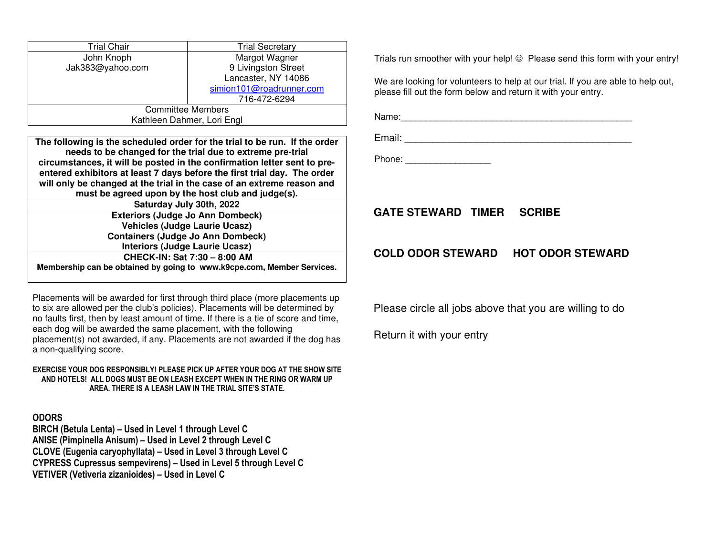| Trial Chair                | <b>Trial Secretary</b>   |  |  |  |
|----------------------------|--------------------------|--|--|--|
| John Knoph                 | Margot Wagner            |  |  |  |
| Jak383@yahoo.com           | 9 Livingston Street      |  |  |  |
|                            | Lancaster, NY 14086      |  |  |  |
|                            | simion101@roadrunner.com |  |  |  |
|                            | 716-472-6294             |  |  |  |
| <b>Committee Members</b>   |                          |  |  |  |
| Kathleen Dahmer, Lori Engl |                          |  |  |  |

**The following is the scheduled order for the trial to be run. If the order needs to be changed for the trial due to extreme pre-trial circumstances, it will be posted in the confirmation letter sent to preentered exhibitors at least 7 days before the first trial day. The order will only be changed at the trial in the case of an extreme reason and must be agreed upon by the host club and judge(s).Saturday July 30th, 2022 Exteriors (Judge Jo Ann Dombeck) Vehicles (Judge Laurie Ucasz) Containers (Judge Jo Ann Dombeck) Interiors (Judge Laurie Ucasz) CHECK-IN: Sat 7:30 – 8:00 AM Membership can be obtained by going to www.k9cpe.com, Member Services.** 

Placements will be awarded for first through third place (more placements up to six are allowed per the club's policies). Placements will be determined by no faults first, then by least amount of time. If there is a tie of score and time, each dog will be awarded the same placement, with the following placement(s) not awarded, if any. Placements are not awarded if the dog has a non-qualifying score.

#### **EXERCISE YOUR DOG RESPONSIBLY! PLEASE PICK UP AFTER YOUR DOG AT THE SHOW SITE AND HOTELS! ALL DOGS MUST BE ON LEASH EXCEPT WHEN IN THE RING OR WARM UP AREA. THERE IS A LEASH LAW IN THE TRIAL SITE'S STATE.**

### **ODORS**

 **BIRCH (Betula Lenta) – Used in Level 1 through Level C ANISE (Pimpinella Anisum) – Used in Level 2 through Level C CLOVE (Eugenia caryophyllata) – Used in Level 3 through Level C CYPRESS Cupressus sempevirens) – Used in Level 5 through Level C VETIVER (Vetiveria zizanioides) – Used in Level C** 

Trials run smoother with your help!  $\odot$  Please send this form with your entry!

We are looking for volunteers to help at our trial. If you are able to help out, please fill out the form below and return it with your entry.

Name:\_\_\_\_\_\_\_\_\_\_\_\_\_\_\_\_\_\_\_\_\_\_\_\_\_\_\_\_\_\_\_\_\_\_\_\_\_\_\_\_\_\_\_\_\_\_

Email: \_\_\_\_\_\_\_\_\_\_\_\_\_\_\_\_\_\_\_\_\_\_\_\_\_\_\_\_\_\_\_\_\_\_\_\_\_\_\_\_\_

Phone: \_\_\_\_\_\_\_\_\_\_\_\_\_\_\_\_\_

## **GATE STEWARD TIMER SCRIBE**

### **COLD ODOR STEWARD HOT ODOR STEWARD**

Please circle all jobs above that you are willing to do

Return it with your entry